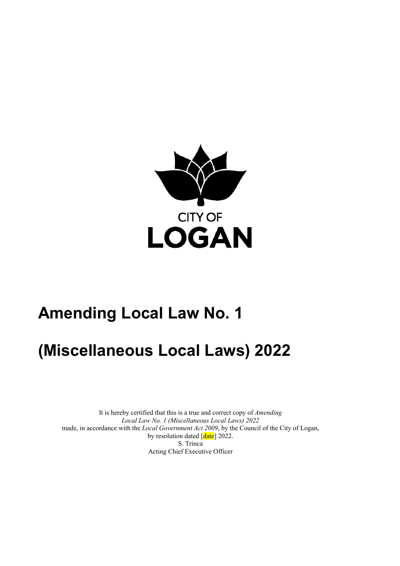

# **Amending Local Law No. 1**

# **(Miscellaneous Local Laws) 2022**

 It is hereby certified that this is a true and correct copy of *Amending Local Law No. 1 (Miscellaneous Local Laws) 2022*  made, in accordance with the *Local Government Act 2009*, by the Council of the City of Logan, by resolution dated [date] 2022. S. Trinca Acting Chief Executive Officer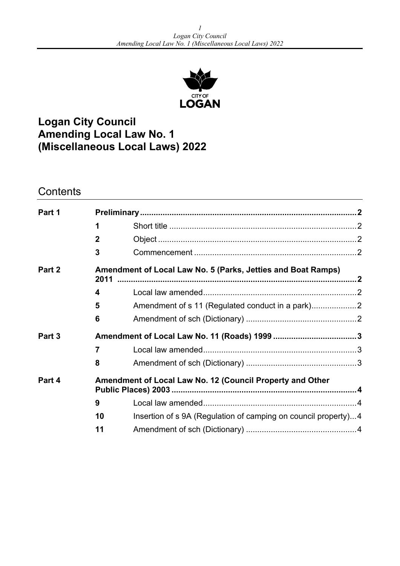

# **Logan City Council Amending Local Law No. 1 (Miscellaneous Local Laws) 2022**

## **Contents**

| Part 1 |                                                                      |                                                                |  |
|--------|----------------------------------------------------------------------|----------------------------------------------------------------|--|
|        |                                                                      |                                                                |  |
|        | $\mathbf{2}$                                                         |                                                                |  |
|        | 3                                                                    |                                                                |  |
| Part 2 | Amendment of Local Law No. 5 (Parks, Jetties and Boat Ramps)<br>2011 |                                                                |  |
|        | 4                                                                    |                                                                |  |
|        | 5                                                                    | Amendment of s 11 (Regulated conduct in a park)2               |  |
|        | 6                                                                    |                                                                |  |
| Part 3 |                                                                      |                                                                |  |
|        | $\overline{7}$                                                       |                                                                |  |
|        | 8                                                                    |                                                                |  |
| Part 4 | Amendment of Local Law No. 12 (Council Property and Other            |                                                                |  |
|        | 9                                                                    |                                                                |  |
|        | 10                                                                   | Insertion of s 9A (Regulation of camping on council property)4 |  |
|        | 11                                                                   |                                                                |  |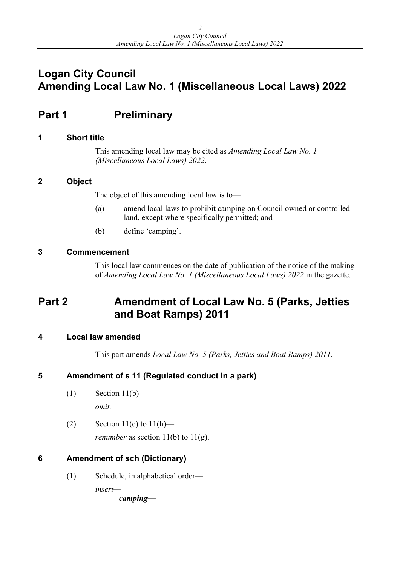# <span id="page-2-0"></span>**Logan City Council Amending Local Law No. 1 (Miscellaneous Local Laws) 2022**

# **Part 1** Preliminary

### **1 Short title**

This amending local law may be cited as *Amending Local Law No. 1 (Miscellaneous Local Laws) 2022*.

### **2 Object**

The object of this amending local law is to—

- (a) amend local laws to prohibit camping on Council owned or controlled land, except where specifically permitted; and
- (b) define 'camping'.

## **3 Commencement**

This local law commences on the date of publication of the notice of the making of *Amending Local Law No. 1 (Miscellaneous Local Laws) 2022* in the gazette.

## **Part 2 Amendment of Local Law No. 5 (Parks, Jetties and Boat Ramps) 2011**

### **4 Local law amended**

This part amends *Local Law No. 5 (Parks, Jetties and Boat Ramps) 2011*.

## **5 Amendment of s 11 (Regulated conduct in a park)**

- $(1)$  Section 11(b) *omit.*
- (2) Section  $11(c)$  to  $11(h)$  *renumber* as section  $11(b)$  to  $11(g)$ .

## **6 Amendment of sch (Dictionary)**

(1) Schedule, in alphabetical order *insert camping*—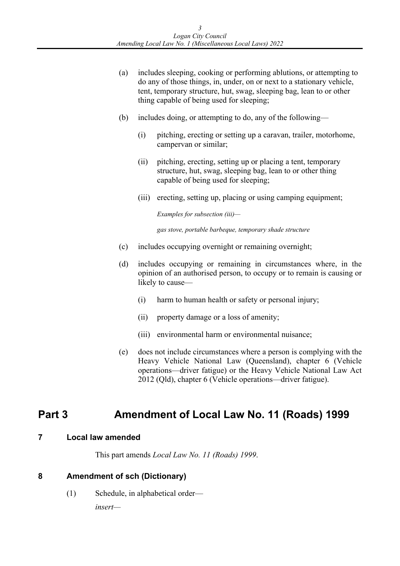- <span id="page-3-0"></span>(a) includes sleeping, cooking or performing ablutions, or attempting to do any of those things, in, under, on or next to a stationary vehicle, tent, temporary structure, hut, swag, sleeping bag, lean to or other thing capable of being used for sleeping;
- (b) includes doing, or attempting to do, any of the following—
	- (i) pitching, erecting or setting up a caravan, trailer, motorhome, campervan or similar;
	- (ii) pitching, erecting, setting up or placing a tent, temporary structure, hut, swag, sleeping bag, lean to or other thing capable of being used for sleeping;
	- (iii) erecting, setting up, placing or using camping equipment;

**Examples for subsection (iii)-**

*Examples for subsection (iii)— gas stove, portable barbeque, temporary shade structure* 

- (c) includes occupying overnight or remaining overnight;
- (d) includes occupying or remaining in circumstances where, in the opinion of an authorised person, to occupy or to remain is causing or likely to cause—
	- (i) harm to human health or safety or personal injury;
	- (ii) property damage or a loss of amenity;
	- (iii) environmental harm or environmental nuisance;
- (e) does not include circumstances where a person is complying with the Heavy Vehicle National Law (Queensland), chapter 6 (Vehicle operations—driver fatigue) or the Heavy Vehicle National Law Act 2012 (Qld), chapter 6 (Vehicle operations—driver fatigue).

## **Part 3 Amendment of Local Law No. 11 (Roads) 1999**

#### **7 Local law amended**

This part amends *Local Law No. 11 (Roads) 1999*.

### **8 Amendment of sch (Dictionary)**

(1) Schedule, in alphabetical order—

*insert—*